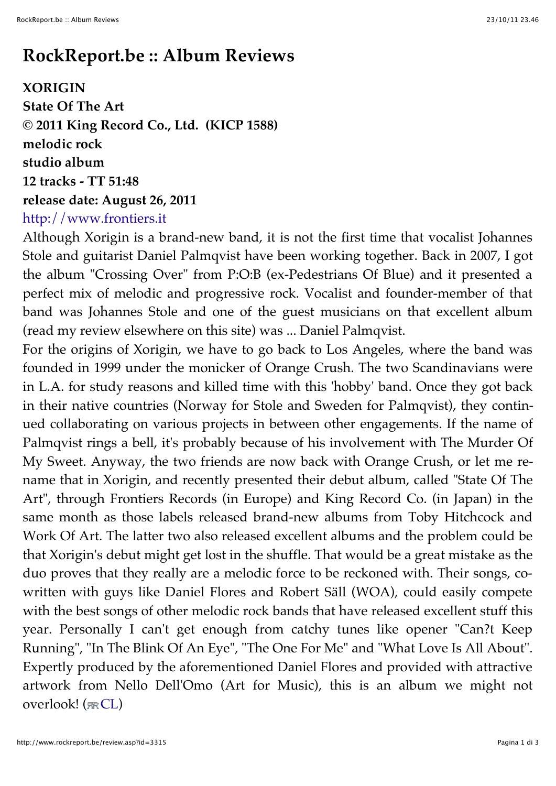## **RockReport.be :: Album Reviews**

**XORIGIN State Of The Art © 2011 King Record Co., Ltd. (KICP 1588) melodic rock studio album 12 tracks - TT 51:48 release date: August 26, 2011** http://www.frontiers.it

Although Xorigin is a brand-new band, it is not the first time that vocalist Johannes Stole and guitarist Daniel Palmqvist have been working together. Back in 2007, I got the album "Crossing Over" from P:O:B (ex-Pedestrians Of Blue) and it presented a perfect mix of melodic and progressive rock. Vocalist and founder-member of that band was Johannes Stole and one of the guest musicians on that excellent album (read my review elsewhere on this site) was ... Daniel Palmqvist.

For the origins of Xorigin, we have to go back to Los Angeles, where the band was founded in 1999 under the monicker of Orange Crush. The two Scandinavians were in L.A. for study reasons and killed time with this 'hobby' band. Once they got back in their native countries (Norway for Stole and Sweden for Palmqvist), they continued collaborating on various projects in between other engagements. If the name of Palmqvist rings a bell, it's probably because of his involvement with The Murder Of My Sweet. Anyway, the two friends are now back with Orange Crush, or let me rename that in Xorigin, and recently presented their debut album, called "State Of The Art", through Frontiers Records (in Europe) and King Record Co. (in Japan) in the same month as those labels released brand-new albums from Toby Hitchcock and Work Of Art. The latter two also released excellent albums and the problem could be that Xorigin's debut might get lost in the shuffle. That would be a great mistake as the duo proves that they really are a melodic force to be reckoned with. Their songs, cowritten with guys like Daniel Flores and Robert Säll (WOA), could easily compete with the best songs of other melodic rock bands that have released excellent stuff this year. Personally I can't get enough from catchy tunes like opener "Can?t Keep Running", "In The Blink Of An Eye", "The One For Me" and "What Love Is All About". Expertly produced by the aforementioned Daniel Flores and provided with attractive artwork from Nello Dell'Omo (Art for Music), this is an album we might not overlook!  $(\pi\mathsf{CL})$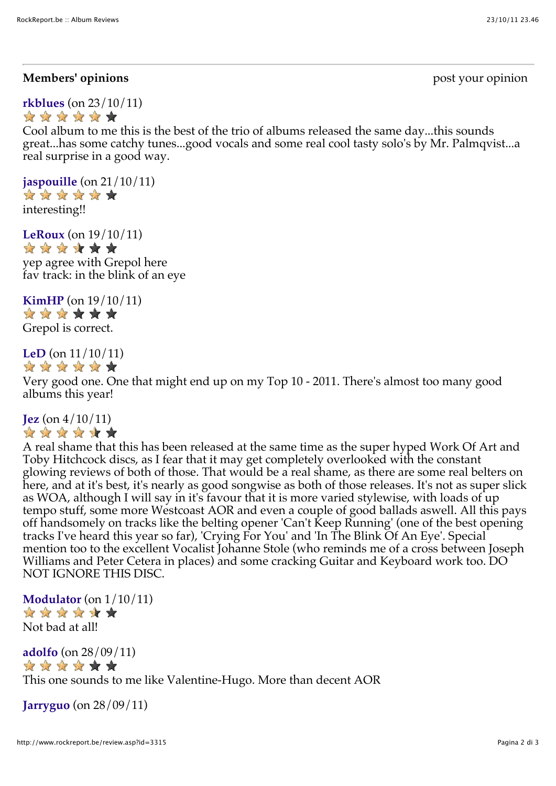#### **Members' opinions** post your opinion

**rkblues** (on 23/10/11) \*\*\*\*\*\*

Cool album to me this is the best of the trio of albums released the same day...this sounds great...has some catchy tunes...good vocals and some real cool tasty solo's by Mr. Palmqvist...a real surprise in a good way.

**jaspouille** (on 21/10/11) \*\*\*\*\*\* interesting!!

**LeRoux** (on 19/10/11) \* \* \* \* \* \* yep agree with Grepol here fav track: in the blink of an eye

**KimHP** (on  $19/10/11$ )<br>  $\Rightarrow$   $\Rightarrow$   $\Rightarrow$   $\Rightarrow$   $\Rightarrow$ 

Grepol is correct.

**LeD** (on 11/10/11)



Very good one. One that might end up on my Top 10 - 2011. There's almost too many good albums this year!

#### **Jez** (on 4/10/11) \* \* \* \* \* \*

A real shame that this has been released at the same time as the super hyped Work Of Art and Toby Hitchcock discs, as I fear that it may get completely overlooked with the constant glowing reviews of both of those. That would be a real shame, as there are some real belters on here, and at it's best, it's nearly as good songwise as both of those releases. It's not as super slick as WOA, although I will say in it's favour that it is more varied stylewise, with loads of up tempo stuff, some more Westcoast AOR and even a couple of good ballads aswell. All this pays off handsomely on tracks like the belting opener 'Can't Keep Running' (one of the best opening tracks I've heard this year so far), 'Crying For You' and 'In The Blink Of An Eye'. Special mention too to the excellent Vocalist Johanne Stole (who reminds me of a cross between Joseph Williams and Peter Cetera in places) and some cracking Guitar and Keyboard work too. DO NOT IGNORE THIS DISC.

**Modulator** (on 1/10/11) \*\*\*\*\*\* Not bad at all!

**adolfo** (on 28/09/11) \*\*\*\*\*\* This one sounds to me like Valentine-Hugo. More than decent AOR

**Jarryguo** (on 28/09/11)